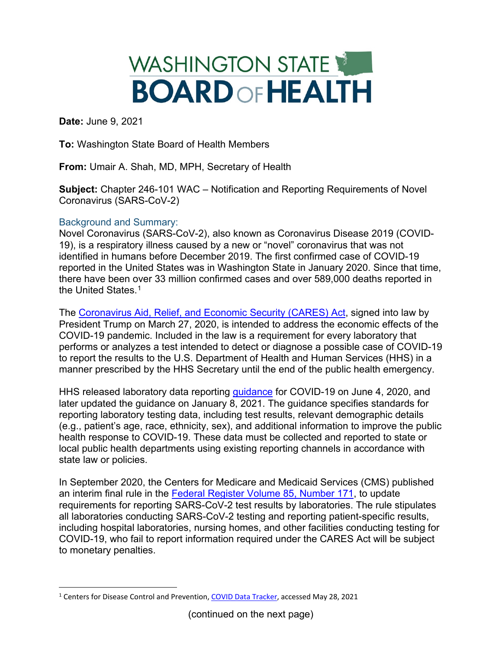## WASHINGTON STATE **BOARD OF HEALTH**

**Date:** June 9, 2021

**To:** Washington State Board of Health Members

**From:** Umair A. Shah, MD, MPH, Secretary of Health

**Subject:** Chapter 246-101 WAC – Notification and Reporting Requirements of Novel Coronavirus (SARS-CoV-2)

## Background and Summary:

Novel Coronavirus (SARS-CoV-2), also known as Coronavirus Disease 2019 (COVID-19), is a respiratory illness caused by a new or "novel" coronavirus that was not identified in humans before December 2019. The first confirmed case of COVID-19 reported in the United States was in Washington State in January 2020. Since that time, there have been over 33 million confirmed cases and over 589,000 deaths reported in the United States. [1](#page-0-0)

The [Coronavirus Aid, Relief, and Economic Security \(CARES\) Act,](https://www.congress.gov/bill/116th-congress/house-bill/748) signed into law by President Trump on March 27, 2020, is intended to address the economic effects of the COVID-19 pandemic. Included in the law is a requirement for every laboratory that performs or analyzes a test intended to detect or diagnose a possible case of COVID-19 to report the results to the U.S. Department of Health and Human Services (HHS) in a manner prescribed by the HHS Secretary until the end of the public health emergency.

HHS released laboratory data reporting [guidance](https://www.hhs.gov/sites/default/files/covid-19-laboratory-data-reporting-guidance.pdf) for COVID-19 on June 4, 2020, and later updated the guidance on January 8, 2021. The guidance specifies standards for reporting laboratory testing data, including test results, relevant demographic details (e.g., patient's age, race, ethnicity, sex), and additional information to improve the public health response to COVID-19. These data must be collected and reported to state or local public health departments using existing reporting channels in accordance with state law or policies.

In September 2020, the Centers for Medicare and Medicaid Services (CMS) published an interim final rule in the [Federal Register Volume 85, Number 171,](https://www.govinfo.gov/content/pkg/FR-2020-09-02/pdf/2020-19150.pdf) to update requirements for reporting SARS-CoV-2 test results by laboratories. The rule stipulates all laboratories conducting SARS-CoV-2 testing and reporting patient-specific results, including hospital laboratories, nursing homes, and other facilities conducting testing for COVID-19, who fail to report information required under the CARES Act will be subject to monetary penalties.

<span id="page-0-0"></span><sup>1</sup> Centers for Disease Control and Prevention, [COVID Data Tracker,](https://covid.cdc.gov/covid-data-tracker/#cases_casesinlast7days) accessed May 28, 2021